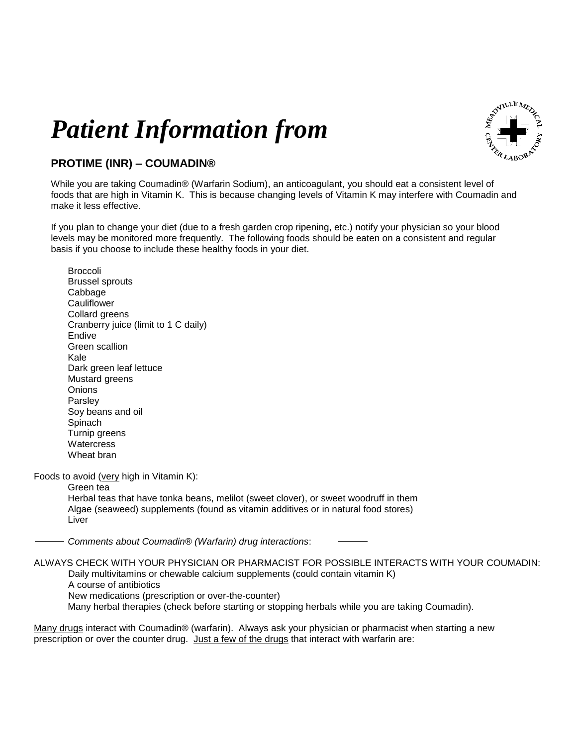## *Patient Information from*



## **PROTIME (INR) – COUMADIN®**

While you are taking Coumadin® (Warfarin Sodium), an anticoagulant, you should eat a consistent level of foods that are high in Vitamin K. This is because changing levels of Vitamin K may interfere with Coumadin and make it less effective.

If you plan to change your diet (due to a fresh garden crop ripening, etc.) notify your physician so your blood levels may be monitored more frequently. The following foods should be eaten on a consistent and regular basis if you choose to include these healthy foods in your diet.

Broccoli Brussel sprouts Cabbage **Cauliflower** Collard greens Cranberry juice (limit to 1 C daily) Endive Green scallion Kale Dark green leaf lettuce Mustard greens **Onions** Parsley Soy beans and oil Spinach Turnip greens **Watercress** Wheat bran Foods to avoid (very high in Vitamin K): Green tea Herbal teas that have tonka beans, melilot (sweet clover), or sweet woodruff in them Algae (seaweed) supplements (found as vitamin additives or in natural food stores) Liver *Comments about Coumadin® (Warfarin) drug interactions*: ALWAYS CHECK WITH YOUR PHYSICIAN OR PHARMACIST FOR POSSIBLE INTERACTS WITH YOUR COUMADIN: Daily multivitamins or chewable calcium supplements (could contain vitamin K)

A course of antibiotics New medications (prescription or over-the-counter) Many herbal therapies (check before starting or stopping herbals while you are taking Coumadin).

Many drugs interact with Coumadin® (warfarin). Always ask your physician or pharmacist when starting a new prescription or over the counter drug. Just a few of the drugs that interact with warfarin are: